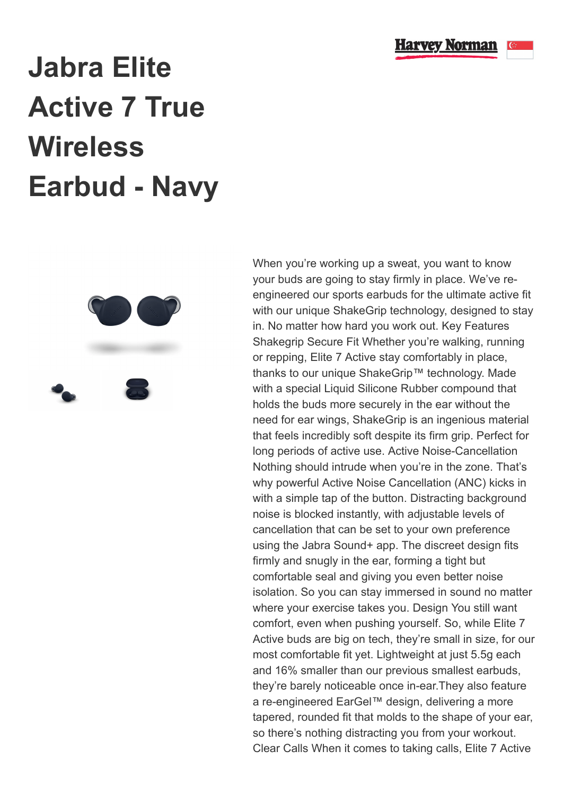

## **Jabra Elite Active 7 True Wireless Earbud - Navy**



When you're working up a sweat, you want to know your buds are going to stay firmly in place. We've reengineered our sports earbuds for the ultimate active fit with our unique ShakeGrip technology, designed to stay in. No matter how hard you work out. Key Features Shakegrip Secure Fit Whether you're walking, running or repping, Elite 7 Active stay comfortably in place, thanks to our unique ShakeGrip™ technology. Made with a special Liquid Silicone Rubber compound that holds the buds more securely in the ear without the need for ear wings, ShakeGrip is an ingenious material that feels incredibly soft despite its firm grip. Perfect for long periods of active use. Active Noise-Cancellation Nothing should intrude when you're in the zone. That's why powerful Active Noise Cancellation (ANC) kicks in with a simple tap of the button. Distracting background noise is blocked instantly, with adjustable levels of cancellation that can be set to your own preference using the Jabra Sound+ app. The discreet design fits firmly and snugly in the ear, forming a tight but comfortable seal and giving you even better noise isolation. So you can stay immersed in sound no matter where your exercise takes you. Design You still want comfort, even when pushing yourself. So, while Elite 7 Active buds are big on tech, they're small in size, for our most comfortable fit yet. Lightweight at just 5.5g each and 16% smaller than our previous smallest earbuds, they're barely noticeable once in-ear.They also feature a re-engineered EarGel™ design, delivering a more tapered, rounded fit that molds to the shape of your ear, so there's nothing distracting you from your workout. Clear Calls When it comes to taking calls, Elite 7 Active